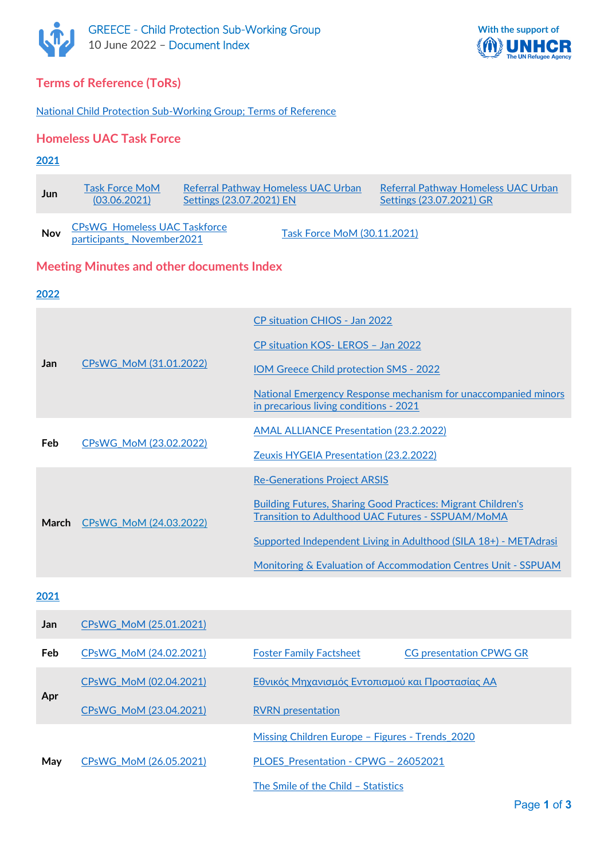



## **Terms of Reference (ToRs)**

[National Child Protection Sub-Working Group; Terms of Reference](https://data2.unhcr.org/en/documents/download/84830)

## **Homeless UAC Task Force**

#### **2021**

| <b>Jun</b> | Task Force MoM<br>(03.06.2021)                                   | Referral Pathway Homeless UAC Urban<br>Settings (23.07.2021) EN |                             | Referral Pathway Homeless UAC Urban<br>Settings (23.07.2021) GR |
|------------|------------------------------------------------------------------|-----------------------------------------------------------------|-----------------------------|-----------------------------------------------------------------|
| <b>Nov</b> | <b>CPsWG Homeless UAC Taskforce</b><br>participants_November2021 |                                                                 | Task Force MoM (30.11.2021) |                                                                 |

### **Meeting Minutes and other documents Index**

#### **2022**

|            |                        | CP situation CHIOS - Jan 2022                                                                                            |  |
|------------|------------------------|--------------------------------------------------------------------------------------------------------------------------|--|
|            |                        | CP situation KOS-LEROS - Jan 2022                                                                                        |  |
| <b>Jan</b> | CPsWG_MoM (31.01.2022) | <b>IOM Greece Child protection SMS - 2022</b>                                                                            |  |
|            |                        | National Emergency Response mechanism for unaccompanied minors<br>in precarious living conditions - 2021                 |  |
| <b>Feb</b> |                        | <b>AMAL ALLIANCE Presentation (23.2.2022)</b>                                                                            |  |
|            | CPsWG MoM (23.02.2022) | Zeuxis HYGEIA Presentation (23.2.2022)                                                                                   |  |
| March      |                        | <b>Re-Generations Project ARSIS</b>                                                                                      |  |
|            | CPsWG MoM (24.03.2022) | <b>Building Futures, Sharing Good Practices: Migrant Children's</b><br>Transition to Adulthood UAC Futures - SSPUAM/MoMA |  |
|            |                        | Supported Independent Living in Adulthood (SILA 18+) - METAdrasi                                                         |  |
|            |                        | <b>Monitoring &amp; Evaluation of Accommodation Centres Unit - SSPUAM</b>                                                |  |

#### **2021**

| <b>Jan</b> | CPsWG MoM (25.01.2021)                                                    |                                                 |                                |  |
|------------|---------------------------------------------------------------------------|-------------------------------------------------|--------------------------------|--|
| Feb        | CPsWG MoM (24.02.2021)                                                    | <b>Foster Family Factsheet</b>                  | <b>CG presentation CPWG GR</b> |  |
|            | Εθνικός Μηχανισμός Εντοπισμού και Προστασίας ΑΑ<br>CPsWG MoM (02.04.2021) |                                                 |                                |  |
| Apr        | CPsWG MoM (23.04.2021)                                                    | <b>RVRN</b> presentation                        |                                |  |
| May        |                                                                           | Missing Children Europe – Figures - Trends 2020 |                                |  |
|            | CP <sub>s</sub> WG M <sub>o</sub> M (26.05.2021)                          | PLOES Presentation - CPWG - 26052021            |                                |  |
|            |                                                                           | The Smile of the Child - Statistics             |                                |  |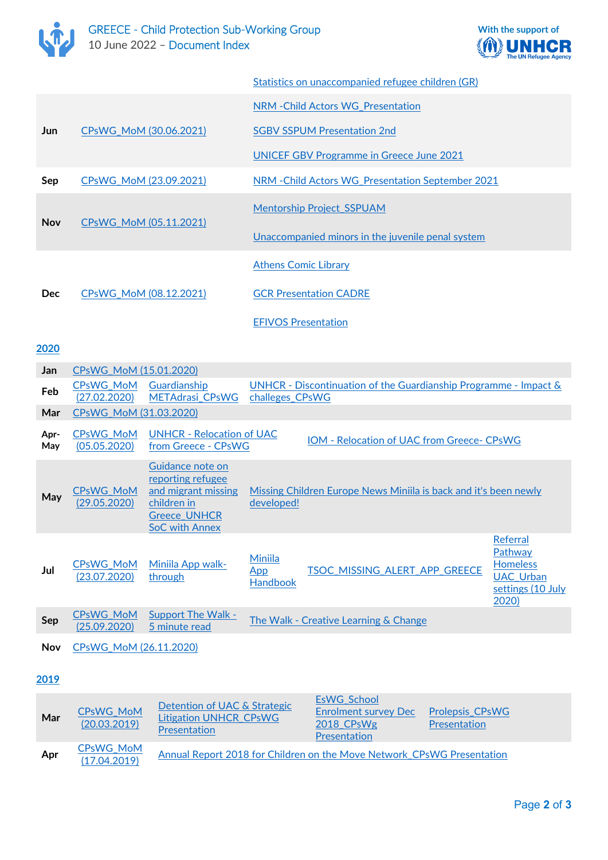



|            |                        | Statistics on unaccompanied refugee children (GR) |
|------------|------------------------|---------------------------------------------------|
|            | CPsWG_MoM (30.06.2021) | NRM - Child Actors WG Presentation                |
| Jun        |                        | <b>SGBV SSPUM Presentation 2nd</b>                |
|            |                        | <b>UNICEF GBV Programme in Greece June 2021</b>   |
| Sep        | CPsWG_MoM (23.09.2021) | NRM - Child Actors WG Presentation September 2021 |
|            |                        | <b>Mentorship Project SSPUAM</b>                  |
| <b>Nov</b> | CPsWG MoM (05.11.2021) | Unaccompanied minors in the juvenile penal system |
|            | CPsWG MoM (08.12.2021) | <b>Athens Comic Library</b>                       |
| <b>Dec</b> |                        | <b>GCR Presentation CADRE</b>                     |
|            |                        | <b>EFIVOS Presentation</b>                        |

## **2020**

| Jan         | CPsWG_MoM (15.01.2020)           |                                                                                                                      |                                                 |                                                                  |                                                                                          |
|-------------|----------------------------------|----------------------------------------------------------------------------------------------------------------------|-------------------------------------------------|------------------------------------------------------------------|------------------------------------------------------------------------------------------|
| Feb         | <b>CPsWG MoM</b><br>(27.02.2020) | Guardianship<br><b>METAdrasi CPsWG</b>                                                                               | challeges_CPsWG                                 | UNHCR - Discontinuation of the Guardianship Programme - Impact & |                                                                                          |
| Mar         | CPsWG_MoM (31.03.2020)           |                                                                                                                      |                                                 |                                                                  |                                                                                          |
| Apr-<br>May | CPsWG_MoM<br>(05.05.2020)        | <b>UNHCR - Relocation of UAC</b><br>from Greece - CPsWG                                                              |                                                 | <b>IOM - Relocation of UAC from Greece- CPsWG</b>                |                                                                                          |
| May         | <b>CPsWG MoM</b><br>(29.05.2020) | Guidance note on<br>reporting refugee<br>and migrant missing<br>children in<br>Greece_UNHCR<br><b>SoC with Annex</b> | developed!                                      | Missing Children Europe News Miniila is back and it's been newly |                                                                                          |
| Jul         | <b>CPsWG MoM</b><br>(23.07.2020) | Miniila App walk-<br>through                                                                                         | <b>Miniila</b><br><u>App</u><br><b>Handbook</b> | TSOC_MISSING_ALERT_APP_GREECE                                    | Referral<br>Pathway<br><b>Homeless</b><br><b>UAC Urban</b><br>settings (10 July<br>2020) |
| Sep         | <b>CPsWG MoM</b><br>(25.09.2020) | <b>Support The Walk -</b><br>5 minute read                                                                           |                                                 | The Walk - Creative Learning & Change                            |                                                                                          |
| Nov         | CPsWG MoM (26.11.2020)           |                                                                                                                      |                                                 |                                                                  |                                                                                          |

#### **2019**

| Mar | <b>CPsWG MoM</b><br>(20.03.2019) | Detention of UAC & Strategic<br><b>Litigation UNHCR_CPsWG</b><br>Presentation | EsWG School<br><b>Enrolment survey Dec</b><br>2018 CPsWg<br>Presentation | <b>Prolepsis CPsWG</b><br><b>Presentation</b> |
|-----|----------------------------------|-------------------------------------------------------------------------------|--------------------------------------------------------------------------|-----------------------------------------------|
| Apr | <b>CPsWG MoM</b><br>(17.04.2019) | Annual Report 2018 for Children on the Move Network CPsWG Presentation        |                                                                          |                                               |